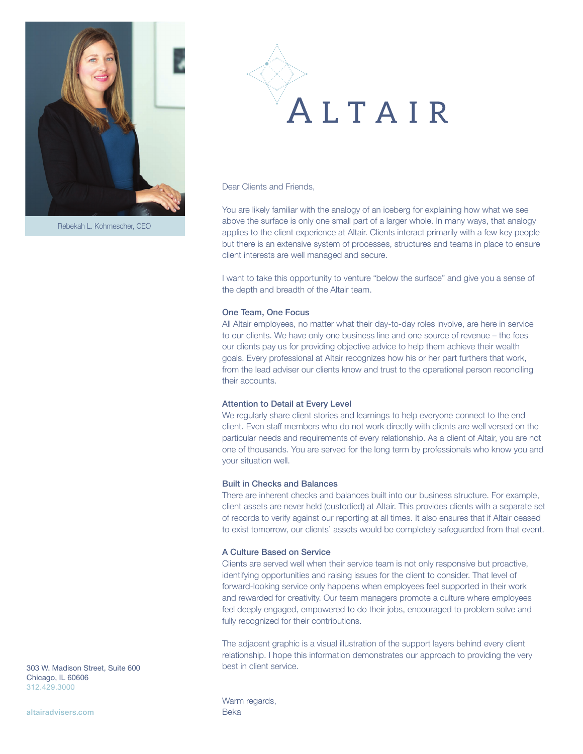

Rebekah L. Kohmescher, CEO



Dear Clients and Friends.

You are likely familiar with the analogy of an iceberg for explaining how what we see above the surface is only one small part of a larger whole. In many ways, that analogy applies to the client experience at Altair. Clients interact primarily with a few key people but there is an extensive system of processes, structures and teams in place to ensure client interests are well managed and secure.

I want to take this opportunity to venture "below the surface" and give you a sense of the depth and breadth of the Altair team.

## One Team, One Focus

All Altair employees, no matter what their day-to-day roles involve, are here in service to our clients. We have only one business line and one source of revenue – the fees our clients pay us for providing objective advice to help them achieve their wealth goals. Every professional at Altair recognizes how his or her part furthers that work, from the lead adviser our clients know and trust to the operational person reconciling their accounts.

### Attention to Detail at Every Level

We regularly share client stories and learnings to help everyone connect to the end client. Even staff members who do not work directly with clients are well versed on the particular needs and requirements of every relationship. As a client of Altair, you are not one of thousands. You are served for the long term by professionals who know you and your situation well.

## Built in Checks and Balances

There are inherent checks and balances built into our business structure. For example, client assets are never held (custodied) at Altair. This provides clients with a separate set of records to verify against our reporting at all times. It also ensures that if Altair ceased to exist tomorrow, our clients' assets would be completely safeguarded from that event.

## A Culture Based on Service

Clients are served well when their service team is not only responsive but proactive, identifying opportunities and raising issues for the client to consider. That level of forward-looking service only happens when employees feel supported in their work and rewarded for creativity. Our team managers promote a culture where employees feel deeply engaged, empowered to do their jobs, encouraged to problem solve and fully recognized for their contributions.

The adjacent graphic is a visual illustration of the support layers behind every client relationship. I hope this information demonstrates our approach to providing the very best in client service.

303 W. Madison Street, Suite 600 Chicago, IL 60606 312.429.3000

altairadvisers.com Beka

Warm regards,